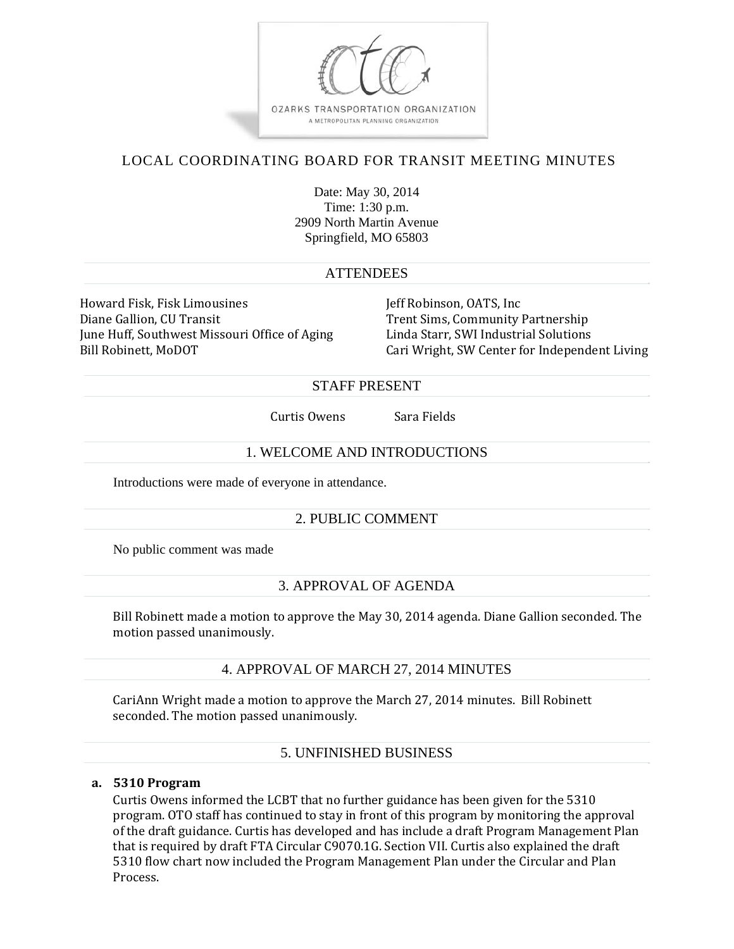

# LOCAL COORDINATING BOARD FOR TRANSIT MEETING MINUTES

Date: May 30, 2014 Time: 1:30 p.m. 2909 North Martin Avenue Springfield, MO 65803

## **ATTENDEES**

Howard Fisk, Fisk Limousines Jeff Robinson, OATS, Inc Diane Gallion, CU Transit **Trent Sims, Community Partnership** June Huff, Southwest Missouri Office of Aging Linda Starr, SWI Industrial Solutions

Bill Robinett, MoDOT Same Cari Wright, SW Center for Independent Living

## STAFF PRESENT

Curtis Owens Sara Fields

# 1. WELCOME AND INTRODUCTIONS

Introductions were made of everyone in attendance.

# 2. PUBLIC COMMENT

No public comment was made

# 3. APPROVAL OF AGENDA

Bill Robinett made a motion to approve the May 30, 2014 agenda. Diane Gallion seconded. The motion passed unanimously.

## 4. APPROVAL OF MARCH 27, 2014 MINUTES

CariAnn Wright made a motion to approve the March 27, 2014 minutes. Bill Robinett seconded. The motion passed unanimously.

# 5. UNFINISHED BUSINESS

## **a. 5310 Program**

Curtis Owens informed the LCBT that no further guidance has been given for the 5310 program. OTO staff has continued to stay in front of this program by monitoring the approval of the draft guidance. Curtis has developed and has include a draft Program Management Plan that is required by draft FTA Circular C9070.1G. Section VII. Curtis also explained the draft 5310 flow chart now included the Program Management Plan under the Circular and Plan Process.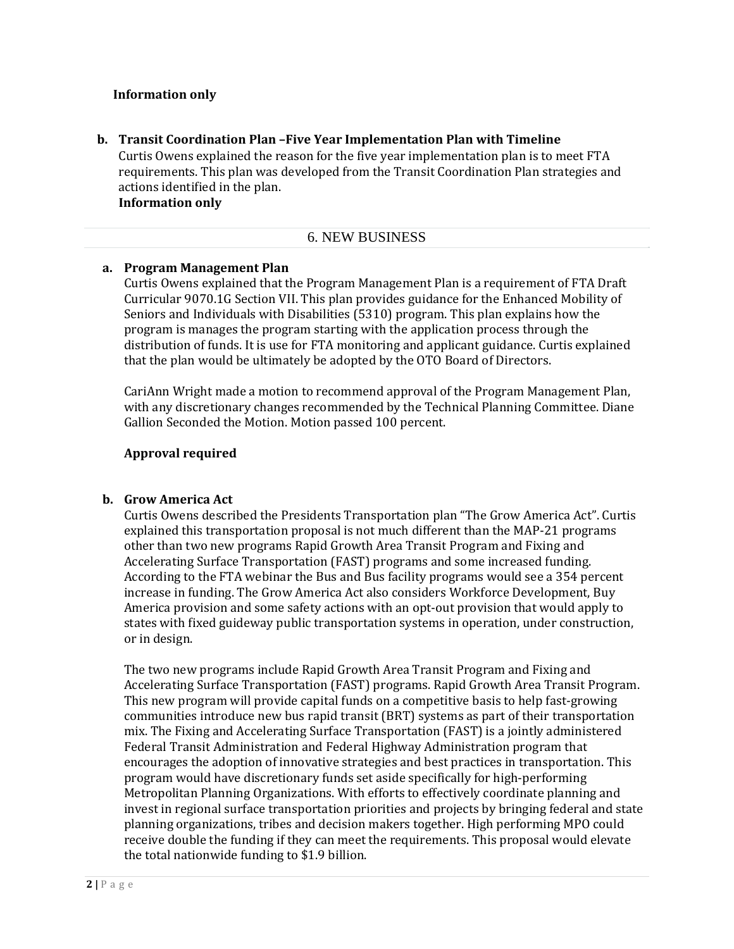#### **Information only**

**b. Transit Coordination Plan –Five Year Implementation Plan with Timeline** Curtis Owens explained the reason for the five year implementation plan is to meet FTA requirements. This plan was developed from the Transit Coordination Plan strategies and actions identified in the plan. **Information only**

## 6. NEW BUSINESS

#### **a. Program Management Plan**

Curtis Owens explained that the Program Management Plan is a requirement of FTA Draft Curricular 9070.1G Section VII. This plan provides guidance for the Enhanced Mobility of Seniors and Individuals with Disabilities (5310) program. This plan explains how the program is manages the program starting with the application process through the distribution of funds. It is use for FTA monitoring and applicant guidance. Curtis explained that the plan would be ultimately be adopted by the OTO Board of Directors.

CariAnn Wright made a motion to recommend approval of the Program Management Plan, with any discretionary changes recommended by the Technical Planning Committee. Diane Gallion Seconded the Motion. Motion passed 100 percent.

#### **Approval required**

#### **b. Grow America Act**

Curtis Owens described the Presidents Transportation plan "The Grow America Act". Curtis explained this transportation proposal is not much different than the MAP-21 programs other than two new programs Rapid Growth Area Transit Program and Fixing and Accelerating Surface Transportation (FAST) programs and some increased funding. According to the FTA webinar the Bus and Bus facility programs would see a 354 percent increase in funding. The Grow America Act also considers Workforce Development, Buy America provision and some safety actions with an opt-out provision that would apply to states with fixed guideway public transportation systems in operation, under construction, or in design.

The two new programs include Rapid Growth Area Transit Program and Fixing and Accelerating Surface Transportation (FAST) programs. Rapid Growth Area Transit Program. This new program will provide capital funds on a competitive basis to help fast-growing communities introduce new bus rapid transit (BRT) systems as part of their transportation mix. The Fixing and Accelerating Surface Transportation (FAST) is a jointly administered Federal Transit Administration and Federal Highway Administration program that encourages the adoption of innovative strategies and best practices in transportation. This program would have discretionary funds set aside specifically for high-performing Metropolitan Planning Organizations. With efforts to effectively coordinate planning and invest in regional surface transportation priorities and projects by bringing federal and state planning organizations, tribes and decision makers together. High performing MPO could receive double the funding if they can meet the requirements. This proposal would elevate the total nationwide funding to  $$1.9$  billion.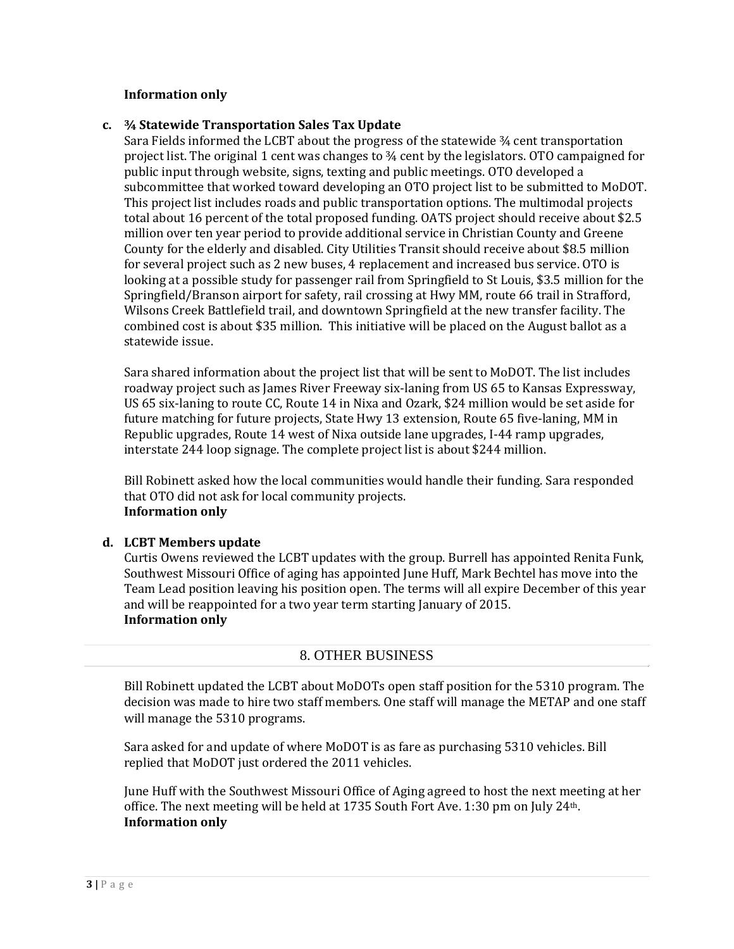#### **Information only**

### **c. ¾ Statewide Transportation Sales Tax Update**

Sara Fields informed the LCBT about the progress of the statewide  $\frac{3}{4}$  cent transportation project list. The original 1 cent was changes to  $\frac{3}{4}$  cent by the legislators. OTO campaigned for public input through website, signs, texting and public meetings. OTO developed a subcommittee that worked toward developing an OTO project list to be submitted to MoDOT. This project list includes roads and public transportation options. The multimodal projects total about 16 percent of the total proposed funding. OATS project should receive about \$2.5 million over ten year period to provide additional service in Christian County and Greene County for the elderly and disabled. City Utilities Transit should receive about \$8.5 million for several project such as 2 new buses, 4 replacement and increased bus service. OTO is looking at a possible study for passenger rail from Springfield to St Louis, \$3.5 million for the Springfield/Branson airport for safety, rail crossing at Hwy MM, route 66 trail in Strafford, Wilsons Creek Battlefield trail, and downtown Springfield at the new transfer facility. The combined cost is about \$35 million. This initiative will be placed on the August ballot as a statewide issue.

Sara shared information about the project list that will be sent to MoDOT. The list includes roadway project such as James River Freeway six-laning from US 65 to Kansas Expressway, US 65 six-laning to route CC, Route 14 in Nixa and Ozark, \$24 million would be set aside for future matching for future projects, State Hwy 13 extension, Route 65 five-laning, MM in Republic upgrades, Route 14 west of Nixa outside lane upgrades, I-44 ramp upgrades, interstate 244 loop signage. The complete project list is about \$244 million.

Bill Robinett asked how the local communities would handle their funding. Sara responded that OTO did not ask for local community projects. **Information only**

#### **d. LCBT Members update**

Curtis Owens reviewed the LCBT updates with the group. Burrell has appointed Renita Funk, Southwest Missouri Office of aging has appointed June Huff, Mark Bechtel has move into the Team Lead position leaving his position open. The terms will all expire December of this year and will be reappointed for a two year term starting January of 2015. **Information only**

## 8. OTHER BUSINESS

Bill Robinett updated the LCBT about MoDOTs open staff position for the 5310 program. The decision was made to hire two staff members. One staff will manage the METAP and one staff will manage the 5310 programs.

Sara asked for and update of where MoDOT is as fare as purchasing 5310 vehicles. Bill replied that MoDOT just ordered the 2011 vehicles.

June Huff with the Southwest Missouri Office of Aging agreed to host the next meeting at her office. The next meeting will be held at 1735 South Fort Ave. 1:30 pm on July  $24<sup>th</sup>$ . **Information only**